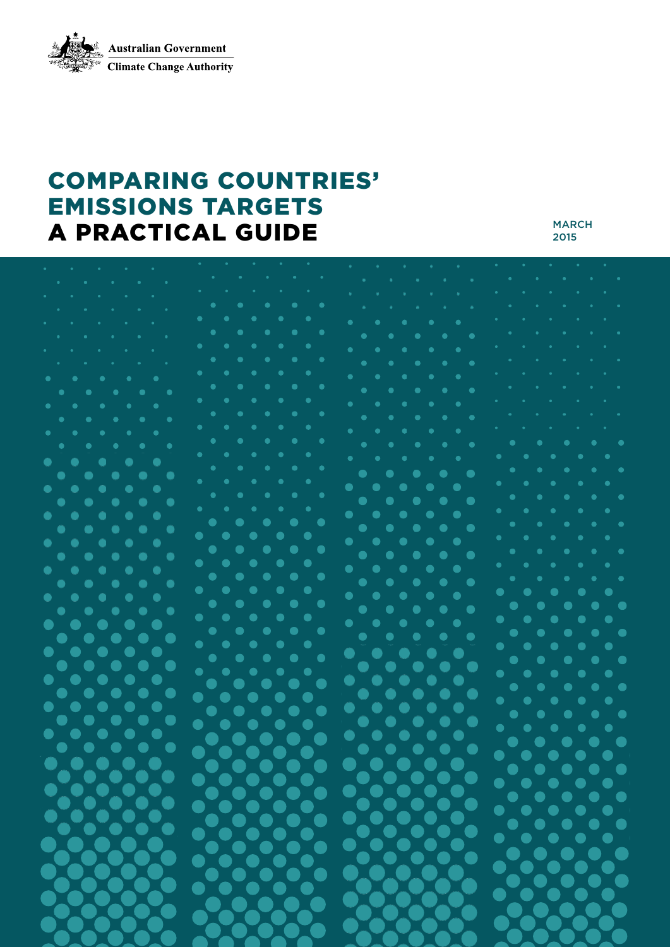**Australian Government Climate Change Authority** 

# COMPARING COUNTRIES' EMISSIONS TARGETS A PRACTICAL GUIDE

MARCH 2015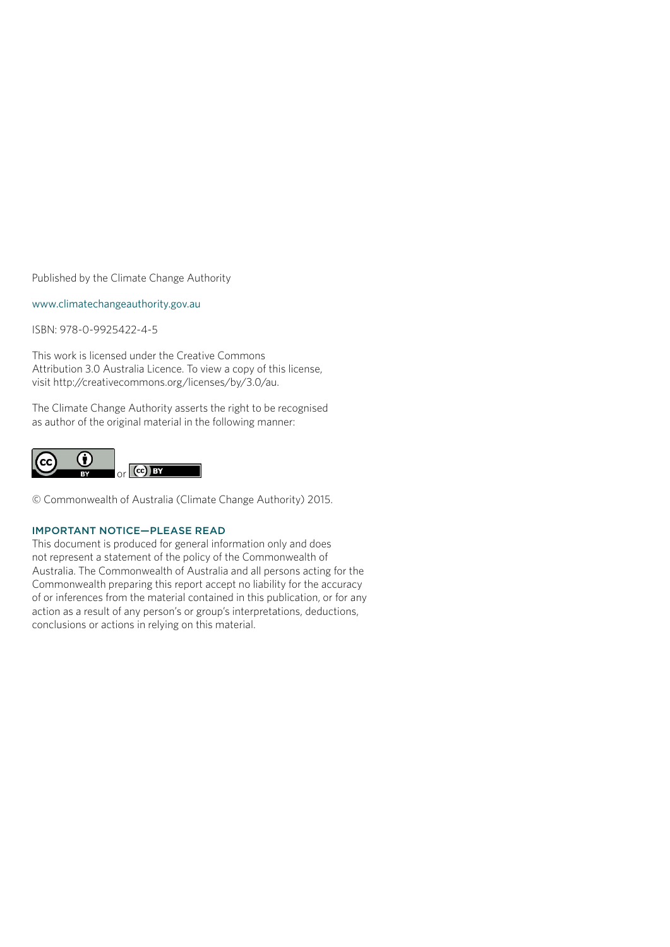Published by the Climate Change Authority

[www.climatechangeauthority.gov.au](http://www.climatechangeauthority.gov.au)

ISBN: 978-0-9925422-4-5

This work is licensed under the Creative Commons Attribution 3.0 Australia Licence. To view a copy of this license, visit http://creativecommons.org/licenses/by/3.0/au.

The Climate Change Authority asserts the right to be recognised as author of the original material in the following manner:



© Commonwealth of Australia (Climate Change Authority) 2015.

#### IMPORTANT NOTICE—PLEASE READ

This document is produced for general information only and does not represent a statement of the policy of the Commonwealth of Australia. The Commonwealth of Australia and all persons acting for the Commonwealth preparing this report accept no liability for the accuracy of or inferences from the material contained in this publication, or for any action as a result of any person's or group's interpretations, deductions, conclusions or actions in relying on this material.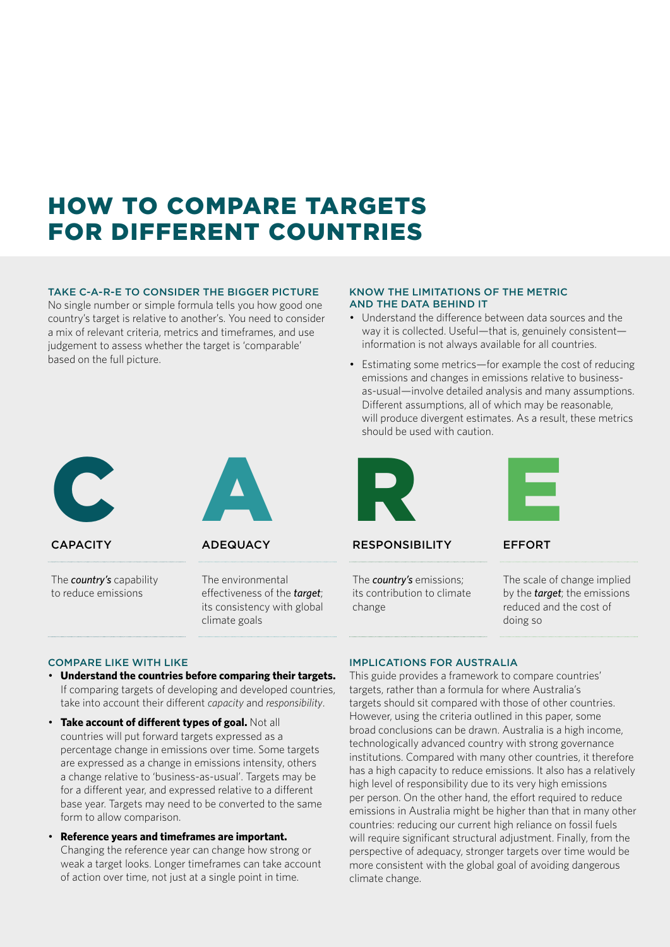# HOW TO COMPARE TARGETS FOR DIFFERENT COUNTRIES

#### TAKE C-A-R-E TO CONSIDER THE BIGGER PICTURE

No single number or simple formula tells you how good one country's target is relative to another's. You need to consider a mix of relevant criteria, metrics and timeframes, and use judgement to assess whether the target is 'comparable' based on the full picture.

#### KNOW THE LIMITATIONS OF THE METRIC AND THE DATA BEHIND IT

- Understand the difference between data sources and the way it is collected. Useful—that is, genuinely consistent information is not always available for all countries.
- Estimating some metrics—for example the cost of reducing emissions and changes in emissions relative to businessas-usual—involve detailed analysis and many assumptions. Different assumptions, all of which may be reasonable, will produce divergent estimates. As a result, these metrics should be used with caution.



RESPONSIBILITY

The *country's* emissions; its contribution to climate change



EFFORT

The scale of change implied by the *target*; the emissions reduced and the cost of doing so

# C

**CAPACITY** 

The *country's* capability to reduce emissions



ADEQUACY

The environmental effectiveness of the *target*; its consistency with global climate goals

#### COMPARE LIKE WITH LIKE

- **Understand the countries before comparing their targets.** If comparing targets of developing and developed countries, take into account their different *capacity* and *responsibility*.
- **Take account of different types of goal.** Not all countries will put forward targets expressed as a percentage change in emissions over time. Some targets are expressed as a change in emissions intensity, others a change relative to 'business-as-usual'. Targets may be for a different year, and expressed relative to a different base year. Targets may need to be converted to the same form to allow comparison.
- **Reference years and timeframes are important.**  Changing the reference year can change how strong or weak a target looks. Longer timeframes can take account of action over time, not just at a single point in time.

#### IMPLICATIONS FOR AUSTRALIA

This guide provides a framework to compare countries' targets, rather than a formula for where Australia's targets should sit compared with those of other countries. However, using the criteria outlined in this paper, some broad conclusions can be drawn. Australia is a high income, technologically advanced country with strong governance institutions. Compared with many other countries, it therefore has a high capacity to reduce emissions. It also has a relatively high level of responsibility due to its very high emissions per person. On the other hand, the effort required to reduce emissions in Australia might be higher than that in many other countries: reducing our current high reliance on fossil fuels will require significant structural adjustment. Finally, from the perspective of adequacy, stronger targets over time would be more consistent with the global goal of avoiding dangerous climate change.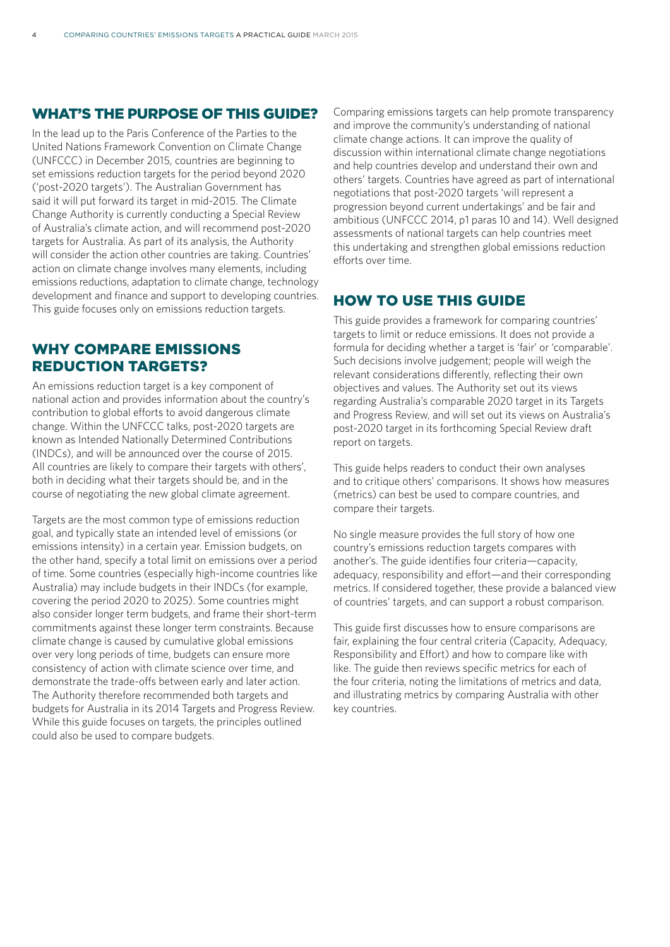#### WHAT'S THE PURPOSE OF THIS GUIDE?

In the lead up to the Paris Conference of the Parties to the United Nations Framework Convention on Climate Change (UNFCCC) in December 2015, countries are beginning to set emissions reduction targets for the period beyond 2020 ('post-2020 targets'). The Australian Government has said it will put forward its target in mid-2015. The Climate Change Authority is currently conducting a Special Review of Australia's climate action, and will recommend post-2020 targets for Australia. As part of its analysis, the Authority will consider the action other countries are taking. Countries' action on climate change involves many elements, including emissions reductions, adaptation to climate change, technology development and finance and support to developing countries. This guide focuses only on emissions reduction targets.

#### WHY COMPARE EMISSIONS REDUCTION TARGETS?

An emissions reduction target is a key component of national action and provides information about the country's contribution to global efforts to avoid dangerous climate change. Within the UNFCCC talks, post-2020 targets are known as Intended Nationally Determined Contributions (INDCs), and will be announced over the course of 2015. All countries are likely to compare their targets with others', both in deciding what their targets should be, and in the course of negotiating the new global climate agreement.

Targets are the most common type of emissions reduction goal, and typically state an intended level of emissions (or emissions intensity) in a certain year. Emission budgets, on the other hand, specify a total limit on emissions over a period of time. Some countries (especially high-income countries like Australia) may include budgets in their INDCs (for example, covering the period 2020 to 2025). Some countries might also consider longer term budgets, and frame their short-term commitments against these longer term constraints. Because climate change is caused by cumulative global emissions over very long periods of time, budgets can ensure more consistency of action with climate science over time, and demonstrate the trade-offs between early and later action. The Authority therefore recommended both targets and budgets for Australia in its 2014 Targets and Progress Review. While this guide focuses on targets, the principles outlined could also be used to compare budgets.

Comparing emissions targets can help promote transparency and improve the community's understanding of national climate change actions. It can improve the quality of discussion within international climate change negotiations and help countries develop and understand their own and others' targets. Countries have agreed as part of international negotiations that post-2020 targets 'will represent a progression beyond current undertakings' and be fair and ambitious (UNFCCC 2014, p1 paras 10 and 14). Well designed assessments of national targets can help countries meet this undertaking and strengthen global emissions reduction efforts over time.

#### HOW TO USE THIS GUIDE

This guide provides a framework for comparing countries' targets to limit or reduce emissions. It does not provide a formula for deciding whether a target is 'fair' or 'comparable'. Such decisions involve judgement; people will weigh the relevant considerations differently, reflecting their own objectives and values. The Authority set out its views regarding Australia's comparable 2020 target in its Targets and Progress Review, and will set out its views on Australia's post-2020 target in its forthcoming Special Review draft report on targets.

This guide helps readers to conduct their own analyses and to critique others' comparisons. It shows how measures (metrics) can best be used to compare countries, and compare their targets.

No single measure provides the full story of how one country's emissions reduction targets compares with another's. The guide identifies four criteria—capacity, adequacy, responsibility and effort—and their corresponding metrics. If considered together, these provide a balanced view of countries' targets, and can support a robust comparison.

This guide first discusses how to ensure comparisons are fair, explaining the four central criteria (Capacity, Adequacy, Responsibility and Effort) and how to compare like with like. The guide then reviews specific metrics for each of the four criteria, noting the limitations of metrics and data, and illustrating metrics by comparing Australia with other key countries.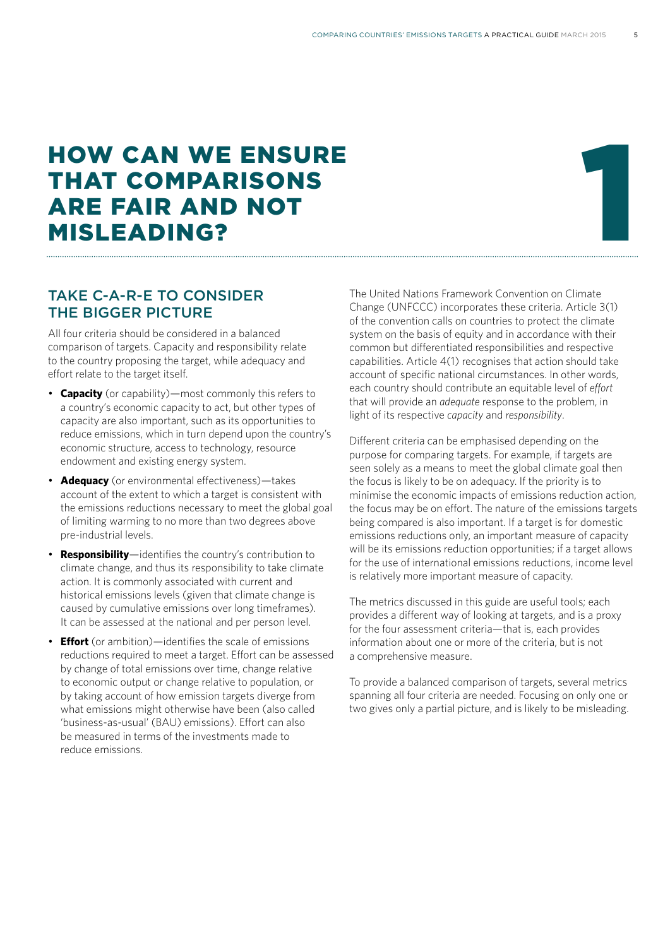# HOW CAN WE ENSURE THAT COMPARISONS ARE FAIR AND NOT HOW CAN WE ENSURE<br>THAT COMPARISONS<br>ARE FAIR AND NOT<br>MISLEADING?

#### TAKE C-A-R-E TO CONSIDER THE BIGGER PICTURE

All four criteria should be considered in a balanced comparison of targets. Capacity and responsibility relate to the country proposing the target, while adequacy and effort relate to the target itself.

- **Capacity** (or capability)—most commonly this refers to a country's economic capacity to act, but other types of capacity are also important, such as its opportunities to reduce emissions, which in turn depend upon the country's economic structure, access to technology, resource endowment and existing energy system.
- **Adequacy** (or environmental effectiveness)—takes account of the extent to which a target is consistent with the emissions reductions necessary to meet the global goal of limiting warming to no more than two degrees above pre-industrial levels.
- **Responsibility**—identifies the country's contribution to climate change, and thus its responsibility to take climate action. It is commonly associated with current and historical emissions levels (given that climate change is caused by cumulative emissions over long timeframes). It can be assessed at the national and per person level.
- **Effort** (or ambition)—identifies the scale of emissions reductions required to meet a target. Effort can be assessed by change of total emissions over time, change relative to economic output or change relative to population, or by taking account of how emission targets diverge from what emissions might otherwise have been (also called 'business-as-usual' (BAU) emissions). Effort can also be measured in terms of the investments made to reduce emissions.

The United Nations Framework Convention on Climate Change (UNFCCC) incorporates these criteria. Article 3(1) of the convention calls on countries to protect the climate system on the basis of equity and in accordance with their common but differentiated responsibilities and respective capabilities. Article 4(1) recognises that action should take account of specific national circumstances. In other words, each country should contribute an equitable level of *effort* that will provide an *adequate* response to the problem, in light of its respective *capacity* and *responsibility*.

Different criteria can be emphasised depending on the purpose for comparing targets. For example, if targets are seen solely as a means to meet the global climate goal then the focus is likely to be on adequacy. If the priority is to minimise the economic impacts of emissions reduction action, the focus may be on effort. The nature of the emissions targets being compared is also important. If a target is for domestic emissions reductions only, an important measure of capacity will be its emissions reduction opportunities; if a target allows for the use of international emissions reductions, income level is relatively more important measure of capacity.

The metrics discussed in this guide are useful tools; each provides a different way of looking at targets, and is a proxy for the four assessment criteria—that is, each provides information about one or more of the criteria, but is not a comprehensive measure.

To provide a balanced comparison of targets, several metrics spanning all four criteria are needed. Focusing on only one or two gives only a partial picture, and is likely to be misleading.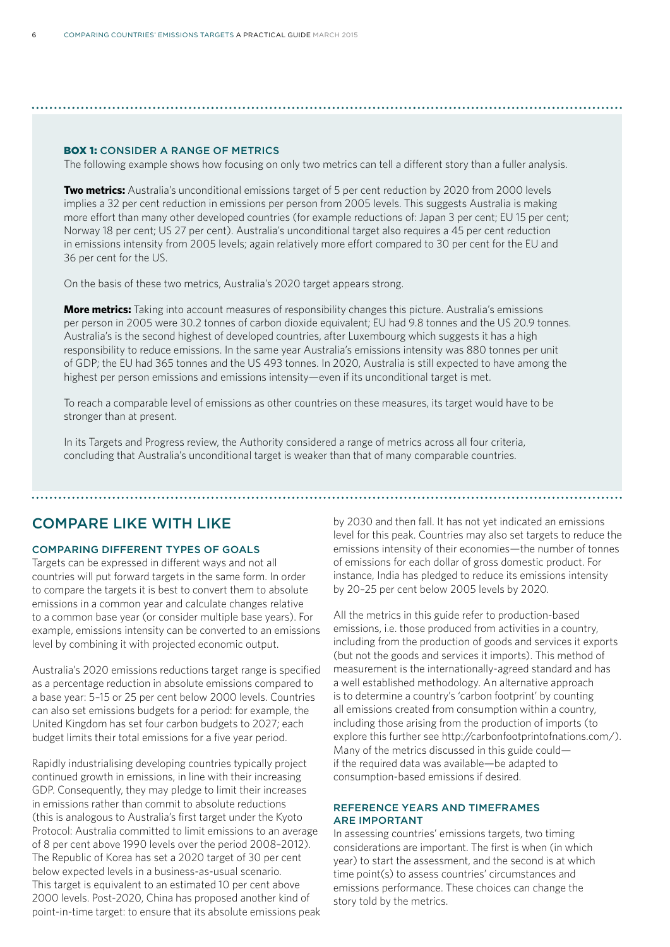#### BOX 1: CONSIDER A RANGE OF METRICS

The following example shows how focusing on only two metrics can tell a different story than a fuller analysis.

**Two metrics:** Australia's unconditional emissions target of 5 per cent reduction by 2020 from 2000 levels implies a 32 per cent reduction in emissions per person from 2005 levels. This suggests Australia is making more effort than many other developed countries (for example reductions of: Japan 3 per cent; EU 15 per cent; Norway 18 per cent; US 27 per cent). Australia's unconditional target also requires a 45 per cent reduction in emissions intensity from 2005 levels; again relatively more effort compared to 30 per cent for the EU and 36 per cent for the US.

On the basis of these two metrics, Australia's 2020 target appears strong.

**More metrics:** Taking into account measures of responsibility changes this picture. Australia's emissions per person in 2005 were 30.2 tonnes of carbon dioxide equivalent; EU had 9.8 tonnes and the US 20.9 tonnes. Australia's is the second highest of developed countries, after Luxembourg which suggests it has a high responsibility to reduce emissions. In the same year Australia's emissions intensity was 880 tonnes per unit of GDP; the EU had 365 tonnes and the US 493 tonnes. In 2020, Australia is still expected to have among the highest per person emissions and emissions intensity—even if its unconditional target is met.

To reach a comparable level of emissions as other countries on these measures, its target would have to be stronger than at present.

In its Targets and Progress review, the Authority considered a range of metrics across all four criteria, concluding that Australia's unconditional target is weaker than that of many comparable countries.

#### COMPARE LIKE WITH LIKE

#### COMPARING DIFFERENT TYPES OF GOALS

Targets can be expressed in different ways and not all countries will put forward targets in the same form. In order to compare the targets it is best to convert them to absolute emissions in a common year and calculate changes relative to a common base year (or consider multiple base years). For example, emissions intensity can be converted to an emissions level by combining it with projected economic output.

Australia's 2020 emissions reductions target range is specified as a percentage reduction in absolute emissions compared to a base year: 5–15 or 25 per cent below 2000 levels. Countries can also set emissions budgets for a period: for example, the United Kingdom has set four carbon budgets to 2027; each budget limits their total emissions for a five year period.

Rapidly industrialising developing countries typically project continued growth in emissions, in line with their increasing GDP. Consequently, they may pledge to limit their increases in emissions rather than commit to absolute reductions (this is analogous to Australia's first target under the Kyoto Protocol: Australia committed to limit emissions to an average of 8 per cent above 1990 levels over the period 2008–2012). The Republic of Korea has set a 2020 target of 30 per cent below expected levels in a business-as-usual scenario. This target is equivalent to an estimated 10 per cent above 2000 levels. Post-2020, China has proposed another kind of point-in-time target: to ensure that its absolute emissions peak by 2030 and then fall. It has not yet indicated an emissions level for this peak. Countries may also set targets to reduce the emissions intensity of their economies—the number of tonnes of emissions for each dollar of gross domestic product. For instance, India has pledged to reduce its emissions intensity by 20–25 per cent below 2005 levels by 2020.

All the metrics in this guide refer to production-based emissions, i.e. those produced from activities in a country, including from the production of goods and services it exports (but not the goods and services it imports). This method of measurement is the internationally-agreed standard and has a well established methodology. An alternative approach is to determine a country's 'carbon footprint' by counting all emissions created from consumption within a country, including those arising from the production of imports (to explore this further see http://carbonfootprintofnations.com/). Many of the metrics discussed in this guide could if the required data was available—be adapted to consumption-based emissions if desired.

#### REFERENCE YEARS AND TIMEFRAMES ARE IMPORTANT

In assessing countries' emissions targets, two timing considerations are important. The first is when (in which year) to start the assessment, and the second is at which time point(s) to assess countries' circumstances and emissions performance. These choices can change the story told by the metrics.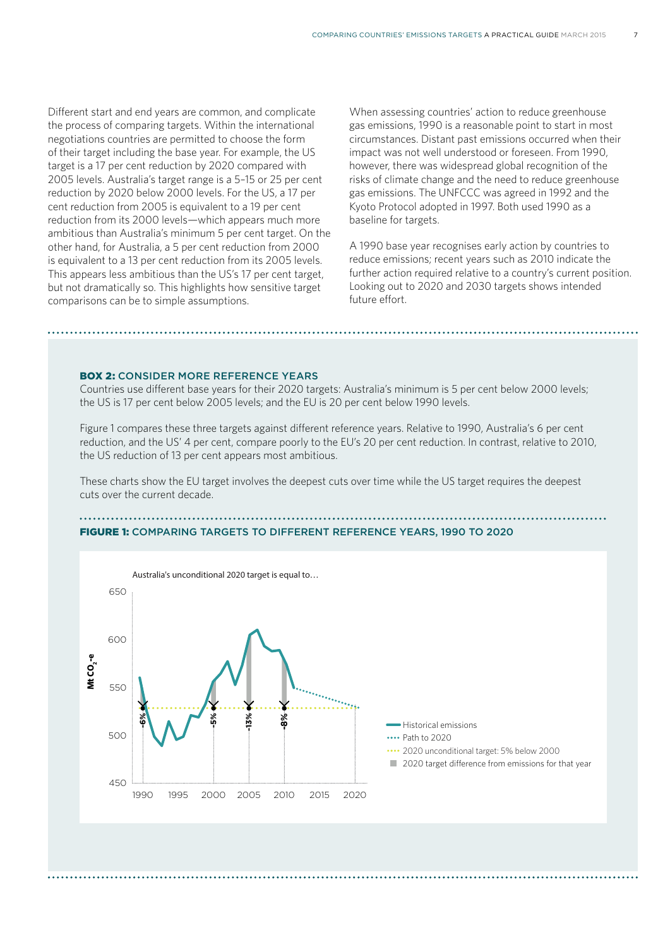Different start and end years are common, and complicate the process of comparing targets. Within the international negotiations countries are permitted to choose the form of their target including the base year. For example, the US target is a 17 per cent reduction by 2020 compared with 2005 levels. Australia's target range is a 5–15 or 25 per cent reduction by 2020 below 2000 levels. For the US, a 17 per cent reduction from 2005 is equivalent to a 19 per cent reduction from its 2000 levels—which appears much more ambitious than Australia's minimum 5 per cent target. On the other hand, for Australia, a 5 per cent reduction from 2000 is equivalent to a 13 per cent reduction from its 2005 levels. This appears less ambitious than the US's 17 per cent target, but not dramatically so. This highlights how sensitive target comparisons can be to simple assumptions.

When assessing countries' action to reduce greenhouse gas emissions, 1990 is a reasonable point to start in most circumstances. Distant past emissions occurred when their impact was not well understood or foreseen. From 1990, however, there was widespread global recognition of the risks of climate change and the need to reduce greenhouse gas emissions. The UNFCCC was agreed in 1992 and the Kyoto Protocol adopted in 1997. Both used 1990 as a baseline for targets.

A 1990 base year recognises early action by countries to reduce emissions; recent years such as 2010 indicate the further action required relative to a country's current position. Looking out to 2020 and 2030 targets shows intended future effort.

#### BOX 2: CONSIDER MORE REFERENCE YEARS

Countries use different base years for their 2020 targets: Australia's minimum is 5 per cent below 2000 levels; the US is 17 per cent below 2005 levels; and the EU is 20 per cent below 1990 levels.

Figure 1 compares these three targets against different reference years. Relative to 1990, Australia's 6 per cent reduction, and the US' 4 per cent, compare poorly to the EU's 20 per cent reduction. In contrast, relative to 2010, the US reduction of 13 per cent appears most ambitious.

These charts show the EU target involves the deepest cuts over time while the US target requires the deepest cuts over the current decade.

#### FIGURE 1: COMPARING TARGETS TO DIFFERENT REFERENCE YEARS, 1990 TO 2020

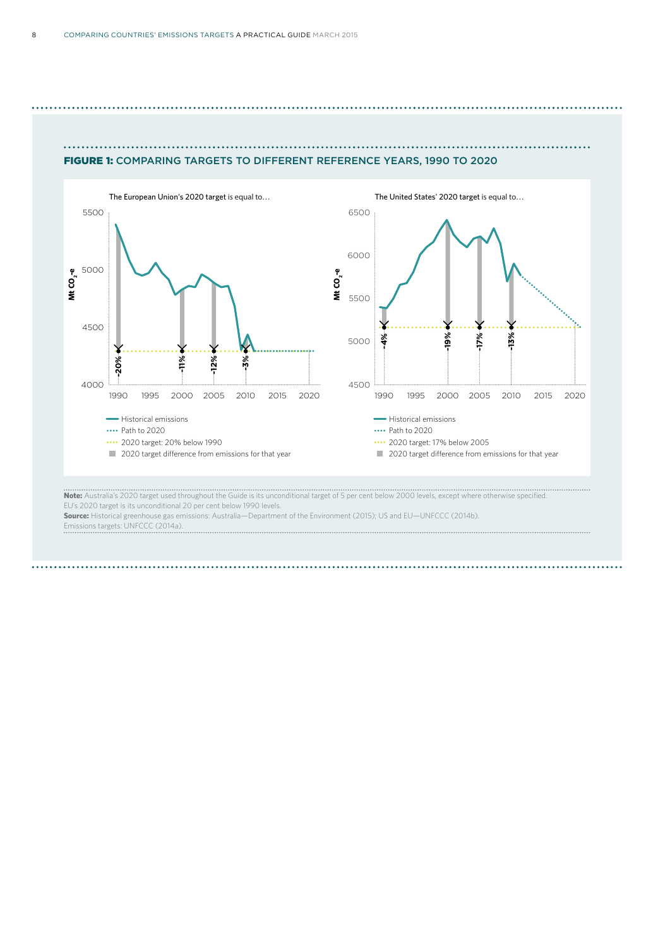



**Note:** Australia's 2020 target used throughout the Guide is its unconditional target of 5 per cent below 2000 levels, except where otherwise specified. EU's 2020 target is its unconditional 20 per cent below 1990 levels.

**Source:** Historical greenhouse gas emissions: Australia—Department of the Environment (2015); US and EU—UNFCCC (2014b).<br>Emissions targets: UNECCC (2014b). REPUBLIC OF KOREA'S 2020 EMISSIONS REDUCTION TARGET, 1990 TO 2020 Emissions targets: UNFCCC (2014a).

800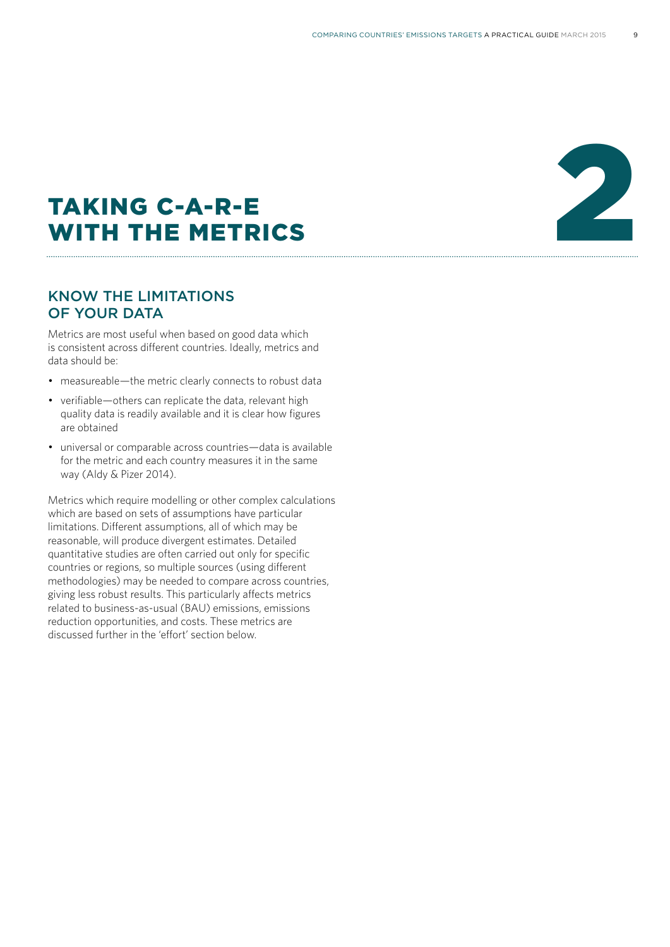# TAKING C-A-R-E TAKING C-A-R-E<br>WITH THE METRICS

#### KNOW THE LIMITATIONS OF YOUR DATA

Metrics are most useful when based on good data which is consistent across different countries. Ideally, metrics and data should be:

- measureable—the metric clearly connects to robust data
- verifiable—others can replicate the data, relevant high quality data is readily available and it is clear how figures are obtained
- universal or comparable across countries—data is available for the metric and each country measures it in the same way (Aldy & Pizer 2014).

Metrics which require modelling or other complex calculations which are based on sets of assumptions have particular limitations. Different assumptions, all of which may be reasonable, will produce divergent estimates. Detailed quantitative studies are often carried out only for specific countries or regions, so multiple sources (using different methodologies) may be needed to compare across countries, giving less robust results. This particularly affects metrics related to business-as-usual (BAU) emissions, emissions reduction opportunities, and costs. These metrics are discussed further in the 'effort' section below.

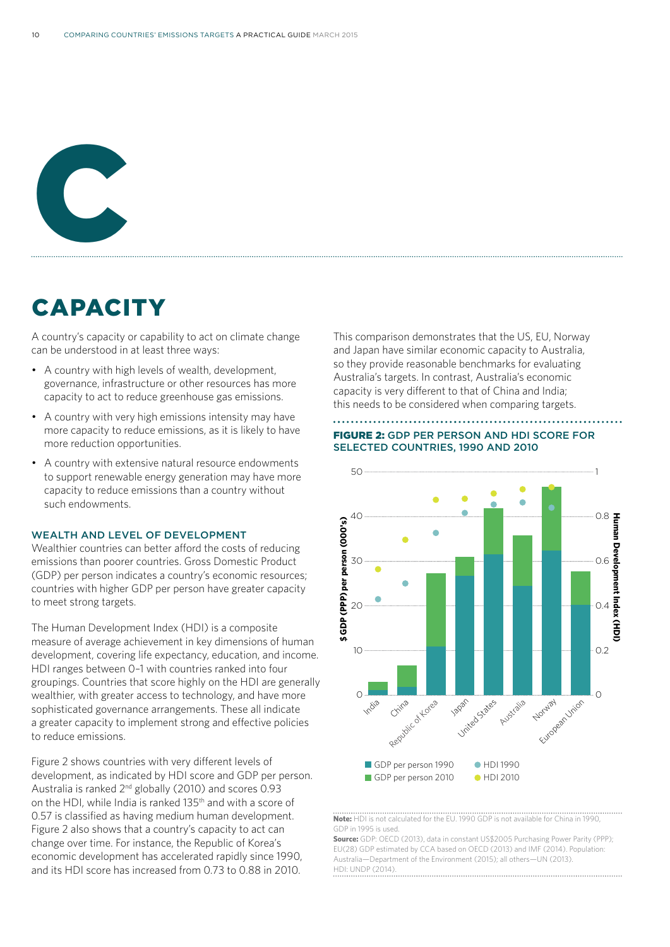

# **CAPACITY**

A country's capacity or capability to act on climate change can be understood in at least three ways:

- A country with high levels of wealth, development, governance, infrastructure or other resources has more capacity to act to reduce greenhouse gas emissions.
- A country with very high emissions intensity may have more capacity to reduce emissions, as it is likely to have more reduction opportunities.
- A country with extensive natural resource endowments to support renewable energy generation may have more capacity to reduce emissions than a country without such endowments.

#### WEALTH AND LEVEL OF DEVELOPMENT

Wealthier countries can better afford the costs of reducing emissions than poorer countries. Gross Domestic Product (GDP) per person indicates a country's economic resources; countries with higher GDP per person have greater capacity to meet strong targets.

The Human Development Index (HDI) is a composite measure of average achievement in key dimensions of human development, covering life expectancy, education, and income. HDI ranges between 0–1 with countries ranked into four groupings. Countries that score highly on the HDI are generally wealthier, with greater access to technology, and have more sophisticated governance arrangements. These all indicate a greater capacity to implement strong and effective policies to reduce emissions.

Figure 2 shows countries with very different levels of development, as indicated by HDI score and GDP per person. Australia is ranked 2nd globally (2010) and scores 0.93 on the HDI, while India is ranked 135th and with a score of 0.57 is classified as having medium human development. Figure 2 also shows that a country's capacity to act can change over time. For instance, the Republic of Korea's economic development has accelerated rapidly since 1990, and its HDI score has increased from 0.73 to 0.88 in 2010.

This comparison demonstrates that the US, EU, Norway and Japan have similar economic capacity to Australia, so they provide reasonable benchmarks for evaluating Australia's targets. In contrast, Australia's economic capacity is very different to that of China and India; this needs to be considered when comparing targets. COUNTRIES TO DE CONSIGUIDO

#### FIGURE 2: GDP PER PERSON AND HDI SCORE FOR SELECTED COUNTRIES, 1990 AND 2010



Note: HDI is not calculated for the EU. **Note:** HDI is not calculated for the EU. 1990 GDP is not available for China in 1990, GDP: in 1995 is used. GDP: OECD 2013, data in constant US\$2005 Purchasing Power Parity (PPP); (PPP)

**Source:** GDP: OECD (2013), data in constant US\$2005 Purchasing Power Parity (PPP); EU(28) GDP estimated by CCA based on OECD (2013) and IMF (2014). Population: Australia-Department of the Environment (2015); all others-UN (2013). HDI: UNDP (2014).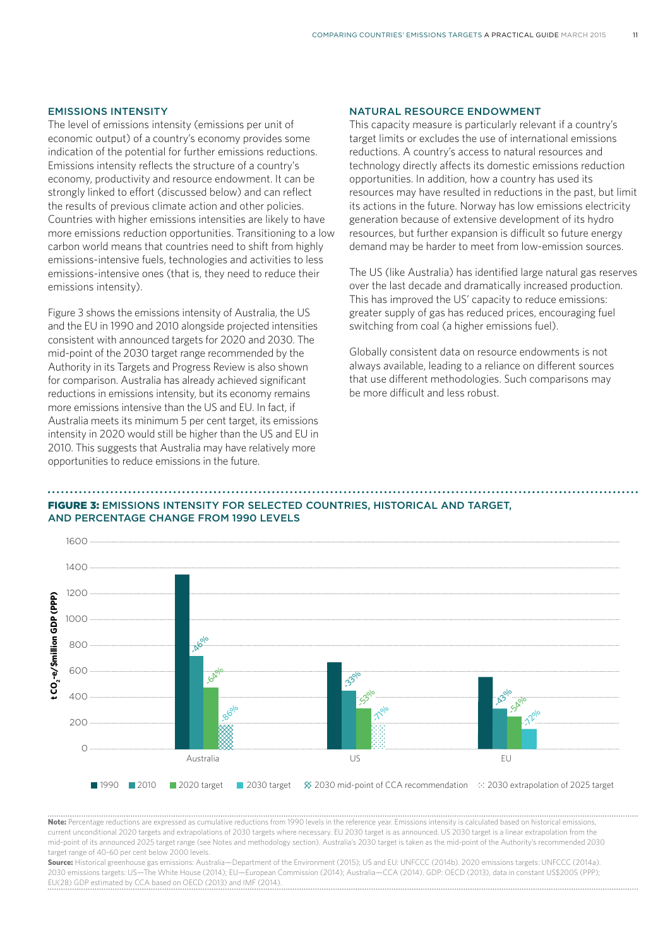#### EMISSIONS INTENSITY

The level of emissions intensity (emissions per unit of economic output) of a country's economy provides some indication of the potential for further emissions reductions. Emissions intensity reflects the structure of a country's economy, productivity and resource endowment. It can be strongly linked to effort (discussed below) and can reflect the results of previous climate action and other policies. Countries with higher emissions intensities are likely to have more emissions reduction opportunities. Transitioning to a low carbon world means that countries need to shift from highly emissions-intensive fuels, technologies and activities to less emissions-intensive ones (that is, they need to reduce their<br>emissions intensity). emissions intensity). **EM**<br>
inco<br>
inco<br>
inco<br>
inco Australia

emissions intensity).<br>Figure 3 shows the emissions intensity of Australia, the US<br>and the FLU: 1999 and 2019 algorith a rejected intensities and the EU in 1990 and 2010 alongside projected intensities consistent with announced targets for 2020 and 2030. The mid-point of the 2030 target range recommended by the Authority in its Targets and Progress Review is also shown for comparison. Australia has already achieved significant reductions in emissions intensity, but its economy remains more emissions intensive than the US and EU. In fact, if Australia meets its minimum 5 per cent target, its emissions intensity in 2020 would still be higher than the US and EU in 2010. This suggests that Australia may have relatively more opportunities to reduce emissions in the future. Treasury and DIICCSRTE 2013; all others: United Nations (UN) 2013. HDI: UN Development

#### NATURAL RESOURCE ENDOWMENT

This capacity measure is particularly relevant if a country's target limits or excludes the use of international emissions reductions. A country's access to natural resources and technology directly affects its domestic emissions reduction opportunities. In addition, how a country has used its resources may have resulted in reductions in the past, but limit its actions in the future. Norway has low emissions electricity generation because of extensive development of its hydro resources, but further expansion is difficult so future energy demand may be harder to meet from low-emission sources. **BA**<br> **hi**<br>
ar<sub>i</sub>ed<br>
person

The US (like Australia) has identified large natural gas reserves over the last decade and dramatically increased production. This has improved the US' capacity to reduce emissions: greater supply of gas has reduced prices, encouraging fuel switching from coal (a higher emissions fuel).

Globally consistent data on resource endowments is not always available, leading to a reliance on different sources that use different methodologies. Such comparisons may be more difficult and less robust.

#### FIGURE 3: EMISSIONS INTENSITY FOR SELECTED COUNTRIES, HISTORICAL AND TARGET, **AND PERCENTAGE CHANGE FROM 1990 LEVELS**



**Note:** Percentage reductions are expressed as cumulative reductions from 1990 levels in the reference year. Emissions intensity is calculated based on historical emissions, current unconditional 2020 targets and extrapolations of 2030 targets where necessary. EU 2030 target is as announced. US 2030 target is a linear extrapolation from the mid-point of its announced 2025 target range (see Notes and methodology section). Australia's 2030 target is taken as the mid-point of the Authority's recommended 2030 target range of 40-60 per cent below 2000 levels.

**Source:** Historical greenhouse gas emissions: Australia—Department of the Environment (2015); US and EU: UNFCCC (2014b). 2020 emissions targets: UNFCCC (2014a). 2030 emissions targets: US—The White House (2014); EU—European Commission (2014); Australia—CCA (2014). GDP: OECD (2013), data in constant US\$2005 (PPP); EU(28) GDP estimated by CCA based on OECD (2013) and IMF (2014).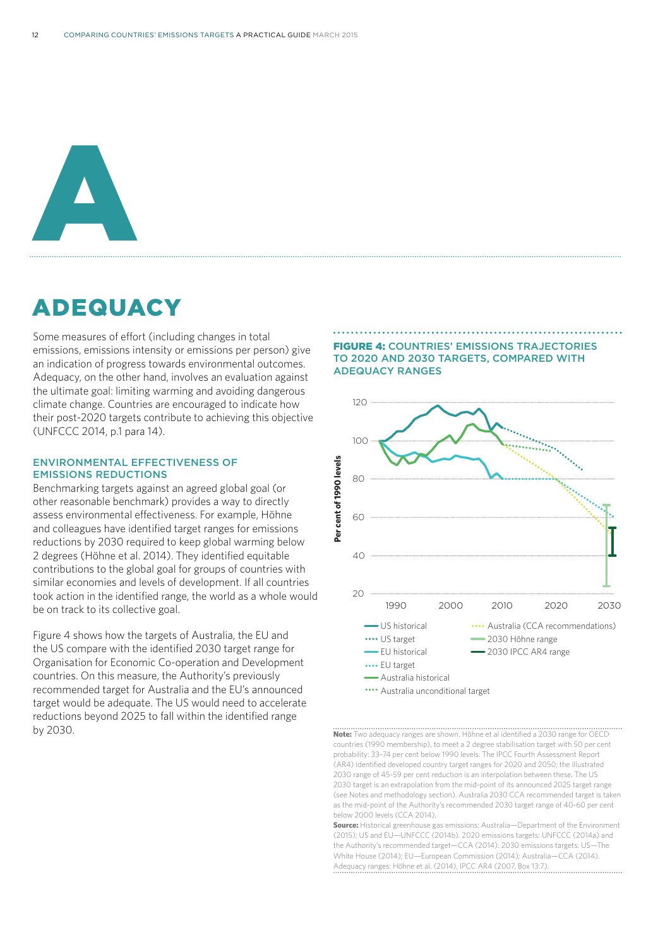

# ADEQUACY

Some measures of effort (including changes in total emissions, emissions intensity or emissions per person) give an indication of progress towards environmental outcomes. Adequacy, on the other hand, involves an evaluation against the ultimate goal: limiting warming and avoiding dangerous climate change. Countries are encouraged to indicate how their post-2020 targets contribute to achieving this objective (UNFCCC 2014, p.1 para 14).

#### ENVIRONMENTAL EFFECTIVENESS OF EMISSIONS REDUCTIONS

Benchmarking targets against an agreed global goal (or other reasonable benchmark) provides a way to directly assess environmental effectiveness. For example, Höhne and colleagues have identified target ranges for emissions reductions by 2030 required to keep global warming below 2 degrees (Höhne et al. 2014). They identified equitable contributions to the global goal for groups of countries with similar economies and levels of development. If all countries took action in the identified range, the world as a whole would be on track to its collective goal.

Figure 4 shows how the targets of Australia, the EU and the US compare with the identified 2030 target range for Organisation for Economic Co-operation and Development countries. On this measure, the Authority's previously recommended target for Australia and the EU's announced target would be adequate. The US would need to accelerate reductions beyond 2025 to fall within the identified range by 2030.

FIGURE 4: COUNTRIES' EMISSIONS TRAJECTORIES TO 2020 AND 2030 TARGETS, COMPARED WITH ADEQUACY RANGES



**Note:** Two adequacy ranges are shown. Höhne et al identified a 2030 range for OECD countries (1990 membership), to meet a 2 degree stabilisation target with 50 per cent probability: 33–74 per cent below 1990 levels. The IPCC Fourth Assessment Report (AR4) identified developed country target ranges for 2020 and 2050; the illustrated 2030 range of 45-59 per cent reduction is an interpolation between these. The US 2030 target is an extrapolation from the mid-point of its announced 2025 target range (see Notes and methodology section). Australia 2030 CCA recommended target is taken as the mid-point of the Authority's recommended 2030 target range of 40-60 per cent below 2000 levels (CCA 2014).

 -21% 30 Adequacy ranges: Höhne et al. (2014), IPCC AR4 (2007, Box 13.7).35 (2015); US and EU—UNFCCC (2014b). 2020 emissions targets: UNFCCC (2014a) and **Source:** Historical greenhouse gas emissions: Australia—Department of the Environment the Authority's recommended target—CCA (2014). 2030 emissions targets: US—The White House (2014); EU—European Commission (2014); Australia—CCA (2014).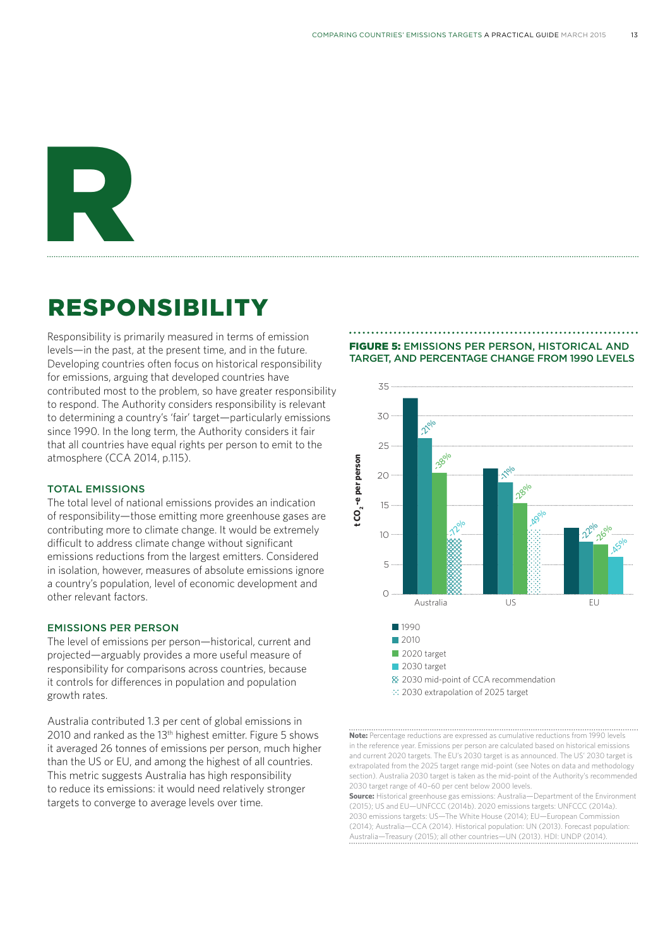# R

# RESPONSIBILITY

Responsibility is primarily measured in terms of emission levels—in the past, at the present time, and in the future. Developing countries often focus on historical responsibility for emissions, arguing that developed countries have contributed most to the problem, so have greater responsibility to respond. The Authority considers responsibility is relevant to determining a country's 'fair' target—particularly emissions since 1990. In the long term, the Authority considers it fair that all countries have equal rights per person to emit to the atmosphere (CCA 2014, p.115).

#### TOTAL EMISSIONS

The total level of national emissions provides an indication of responsibility—those emitting more greenhouse gases are contributing more to climate change. It would be extremely difficult to address climate change without significant emissions reductions from the largest emitters. Considered in isolation, however, measures of absolute emissions ignore a country's population, level of economic development and other relevant factors.

#### EMISSIONS PER PERSON

The level of emissions per person—historical, current and projected—arguably provides a more useful measure of responsibility for comparisons across countries, because it controls for differences in population and population growth rates.

Australia contributed 1.3 per cent of global emissions in 2010 and ranked as the 13<sup>th</sup> highest emitter. Figure 5 shows it averaged 26 tonnes of emissions per person, much higher than the US or EU, and among the highest of all countries. This metric suggests Australia has high responsibility to reduce its emissions: it would need relatively stronger targets to converge to average levels over time.

#### FIGURE 5: EMISSIONS PER PERSON, HISTORICAL AND **TARGET, AND PERCENTAGE CHANGE FROM 1990 LEVELS**



and current 2020 targets. The EU's 2030 target is as announced. The US' 2030 target is<br>autrenalated from the 2025 target range mid point (can lighted and data and mathedalage extrapolated from the 2025 target range mid-point (see Notes on data and methodology<br>continued and methodology<br>continued in 2020 target is taken as the mid-point of the Authority's recommended Exection). Australia 2030 target is taken as the film point. **Note:** Percentage reductions are expressed as cumulative reductions from 1990 levels in the reference year. Emissions per person are calculated based on historical emissions section). Australia 2030 target is taken as the mid-point of the Authority's recommended

0 (2014); Australia—CCA (2014). Historical population: UN (2013). Forecast population: Australia US EU Republic of Korea 2030 emissions targets: US—The White House (2014); EU—European Commission **Source:** Historical greenhouse gas emissions: Australia—Department of the Environment (2015); US and EU—UNFCCC (2014b). 2020 emissions targets: UNFCCC (2014a). Australia—Treasury (2015); all other countries—UN (2013). HDI: UNDP (2014).

-5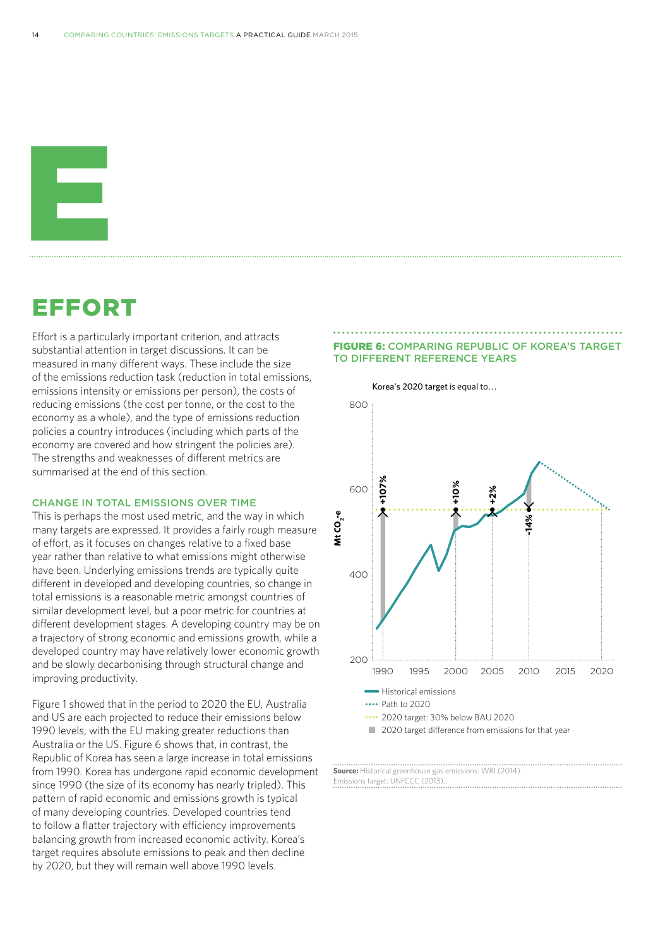

## EFFORT

Effort is a particularly important criterion, and attracts substantial attention in target discussions. It can be measured in many different ways. These include the size of the emissions reduction task (reduction in total emissions, emissions intensity or emissions per person), the costs of reducing emissions (the cost per tonne, or the cost to the economy as a whole), and the type of emissions reduction policies a country introduces (including which parts of the economy are covered and how stringent the policies are). The strengths and weaknesses of different metrics are summarised at the end of this section.

#### CHANGE IN TOTAL EMISSIONS OVER TIME

This is perhaps the most used metric, and the way in which many targets are expressed. It provides a fairly rough measure of effort, as it focuses on changes relative to a fixed base year rather than relative to what emissions might otherwise have been. Underlying emissions trends are typically quite different in developed and developing countries, so change in total emissions is a reasonable metric amongst countries of similar development level, but a poor metric for countries at different development stages. A developing country may be on a trajectory of strong economic and emissions growth, while a developed country may have relatively lower economic growth and be slowly decarbonising through structural change and improving productivity.

Figure 1 showed that in the period to 2020 the EU, Australia and US are each projected to reduce their emissions below 1990 levels, with the EU making greater reductions than Australia or the US. Figure 6 shows that, in contrast, the Republic of Korea has seen a large increase in total emissions from 1990. Korea has undergone rapid economic development since 1990 (the size of its economy has nearly tripled). This pattern of rapid economic and emissions growth is typical of many developing countries. Developed countries tend to follow a flatter trajectory with efficiency improvements balancing growth from increased economic activity. Korea's target requires absolute emissions to peak and then decline by 2020, but they will remain well above 1990 levels.

# **FIGURE 6:** COMPARING REPUBLIC OF KOREA'S TARGET TO DIFFERENT REFERENCE YEARS Korea's 2020 target is equal to… **-20% -11% -12%**



**Source:** Historical greenhouse gas emissions: WRI (2014). Emissions target: UNFCCC (2013).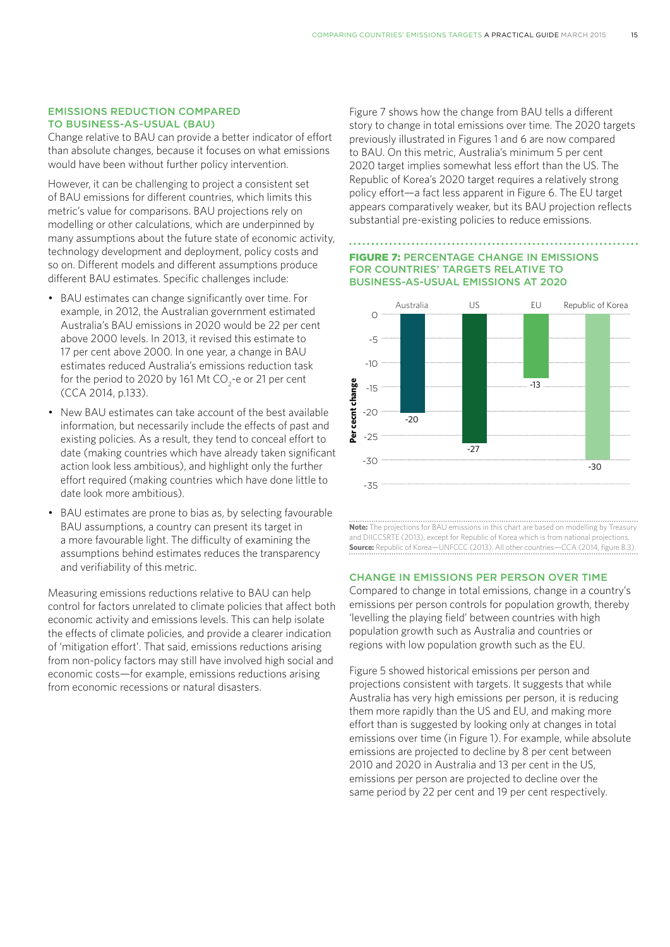#### EMISSIONS REDUCTION COMPARED TO BUSINESS-AS-USUAL (BAU)

Change relative to BAU can provide a better indicator of effort than absolute changes, because it focuses on what emissions would have been without further policy intervention.

However, it can be challenging to project a consistent set of BAU emissions for different countries, which limits this metric's value for comparisons. BAU projections rely on modelling or other calculations, which are underpinned by many assumptions about the future state of economic activity, technology development and deployment, policy costs and so on. Different models and different assumptions produce different BAU estimates. Specific challenges include:

- BAU estimates can change significantly over time. For example, in 2012, the Australian government estimated Australia's BAU emissions in 2020 would be 22 per cent above 2000 levels. In 2013, it revised this estimate to 17 per cent above 2000. In one year, a change in BAU estimates reduced Australia's emissions reduction task for the period to 2020 by 161 Mt CO<sub>2</sub>-e or 21 per cent (CCA 2014, p.133).
- New BAU estimates can take account of the best available information, but necessarily include the effects of past and existing policies. As a result, they tend to conceal effort to date (making countries which have already taken significant action look less ambitious), and highlight only the further effort required (making countries which have done little to date look more ambitious).
- BAU estimates are prone to bias as, by selecting favourable BAU assumptions, a country can present its target in a more favourable light. The difficulty of examining the assumptions behind estimates reduces the transparency and verifiability of this metric.

Measuring emissions reductions relative to BAU can help control for factors unrelated to climate policies that affect both economic activity and emissions levels. This can help isolate the effects of climate policies, and provide a clearer indication of 'mitigation effort'. That said, emissions reductions arising from non-policy factors may still have involved high social and economic costs—for example, emissions reductions arising from economic recessions or natural disasters.

Figure 7 shows how the change from BAU tells a different story to change in total emissions over time. The 2020 targets previously illustrated in Figures 1 and 6 are now compared to BAU. On this metric, Australia's minimum 5 per cent 2020 target implies somewhat less effort than the US. The 2030 target Republic of Korea's 2020 target requires a relatively strong Republic of Rorea's 2020 target requires a relatively strong<br>policy effort—a fact less apparent in Figure 6. The EU target appears comparatively weaker, but its BAU projection reflects substantial pre-existing policies to reduce emissions. 2030 mid-point of Canada recommendation of Christ Co.

#### **FIGURE 7: PERCENTAGE CHANGE IN EMISSIONS** FOR COUNTRIES' TARGETS RELATIVE TO BUSINESS-AS-USUAL EMISSIONS AT 2020 **FOR COUNTRIES**



**Note:** The projections for BAU emissions in this chart are based on modelling by Treasury and DIICCSRTE (2013), except for Republic of Korea which is from national projections. **Source:** Republic of Korea—UNFCCC (2013). All other countries—CCA (2014, figure B.3).

#### CHANGE IN EMISSIONS PER PERSON OVER TIME

Compared to change in total emissions, change in a country's emissions per person controls for population growth, thereby 'levelling the playing field' between countries with high population growth such as Australia and countries or regions with low population growth such as the EU.

Figure 5 showed historical emissions per person and projections consistent with targets. It suggests that while Australia has very high emissions per person, it is reducing them more rapidly than the US and EU, and making more effort than is suggested by looking only at changes in total emissions over time (in Figure 1). For example, while absolute emissions are projected to decline by 8 per cent between 2010 and 2020 in Australia and 13 per cent in the US, emissions per person are projected to decline over the same period by 22 per cent and 19 per cent respectively.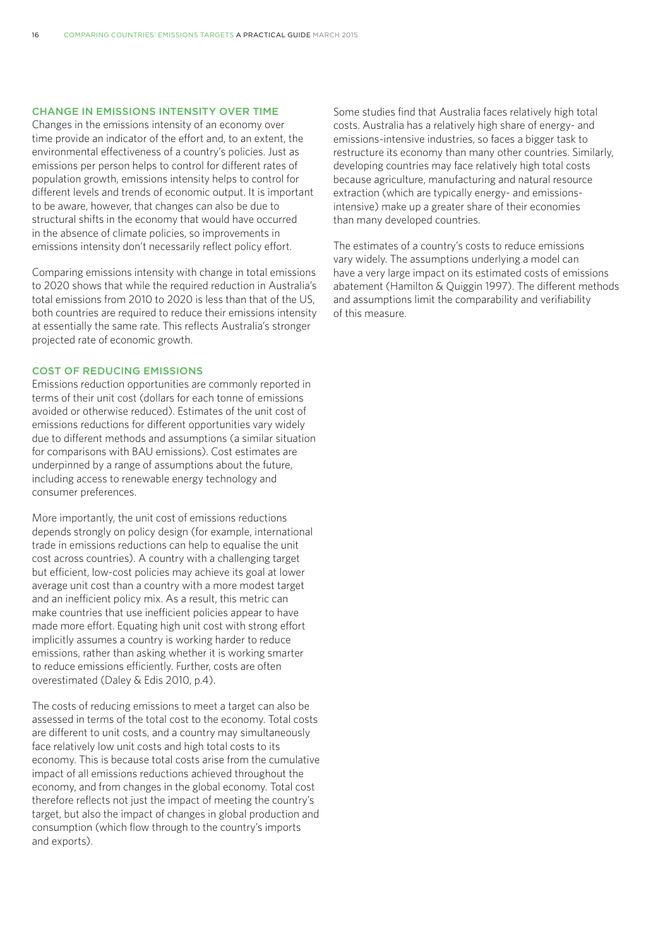#### CHANGE IN EMISSIONS INTENSITY OVER TIME

Changes in the emissions intensity of an economy over time provide an indicator of the effort and, to an extent, the environmental effectiveness of a country's policies. Just as emissions per person helps to control for different rates of population growth, emissions intensity helps to control for different levels and trends of economic output. It is important to be aware, however, that changes can also be due to structural shifts in the economy that would have occurred in the absence of climate policies, so improvements in emissions intensity don't necessarily reflect policy effort.

Comparing emissions intensity with change in total emissions to 2020 shows that while the required reduction in Australia's total emissions from 2010 to 2020 is less than that of the US, both countries are required to reduce their emissions intensity at essentially the same rate. This reflects Australia's stronger projected rate of economic growth.

#### COST OF REDUCING EMISSIONS

Emissions reduction opportunities are commonly reported in terms of their unit cost (dollars for each tonne of emissions avoided or otherwise reduced). Estimates of the unit cost of emissions reductions for different opportunities vary widely due to different methods and assumptions (a similar situation for comparisons with BAU emissions). Cost estimates are underpinned by a range of assumptions about the future, including access to renewable energy technology and consumer preferences.

More importantly, the unit cost of emissions reductions depends strongly on policy design (for example, international trade in emissions reductions can help to equalise the unit cost across countries). A country with a challenging target but efficient, low-cost policies may achieve its goal at lower average unit cost than a country with a more modest target and an inefficient policy mix. As a result, this metric can make countries that use inefficient policies appear to have made more effort. Equating high unit cost with strong effort implicitly assumes a country is working harder to reduce emissions, rather than asking whether it is working smarter to reduce emissions efficiently. Further, costs are often overestimated (Daley & Edis 2010, p.4).

The costs of reducing emissions to meet a target can also be assessed in terms of the total cost to the economy. Total costs are different to unit costs, and a country may simultaneously face relatively low unit costs and high total costs to its economy. This is because total costs arise from the cumulative impact of all emissions reductions achieved throughout the economy, and from changes in the global economy. Total cost therefore reflects not just the impact of meeting the country's target, but also the impact of changes in global production and consumption (which flow through to the country's imports and exports).

Some studies find that Australia faces relatively high total costs. Australia has a relatively high share of energy- and emissions-intensive industries, so faces a bigger task to restructure its economy than many other countries. Similarly, developing countries may face relatively high total costs because agriculture, manufacturing and natural resource extraction (which are typically energy- and emissionsintensive) make up a greater share of their economies than many developed countries.

The estimates of a country's costs to reduce emissions vary widely. The assumptions underlying a model can have a very large impact on its estimated costs of emissions abatement (Hamilton & Quiggin 1997). The different methods and assumptions limit the comparability and verifiability of this measure.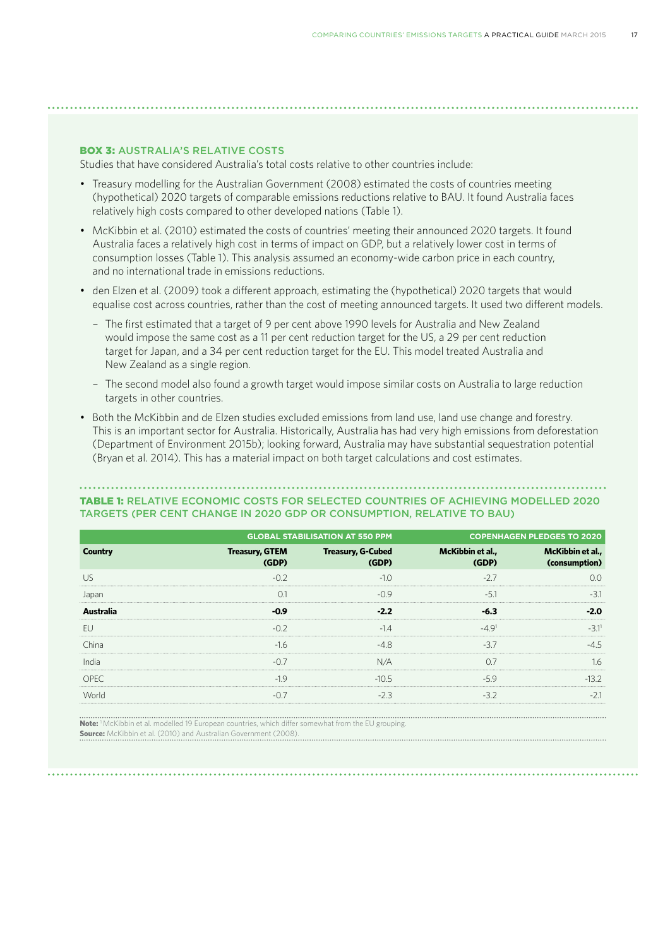#### BOX 3: AUSTRALIA'S RELATIVE COSTS

Studies that have considered Australia's total costs relative to other countries include:

- Treasury modelling for the Australian Government (2008) estimated the costs of countries meeting (hypothetical) 2020 targets of comparable emissions reductions relative to BAU. It found Australia faces relatively high costs compared to other developed nations (Table 1).
- McKibbin et al. (2010) estimated the costs of countries' meeting their announced 2020 targets. It found Australia faces a relatively high cost in terms of impact on GDP, but a relatively lower cost in terms of consumption losses (Table 1). This analysis assumed an economy-wide carbon price in each country, and no international trade in emissions reductions.
- den Elzen et al. (2009) took a different approach, estimating the (hypothetical) 2020 targets that would equalise cost across countries, rather than the cost of meeting announced targets. It used two different models.
	- The first estimated that a target of 9 per cent above 1990 levels for Australia and New Zealand would impose the same cost as a 11 per cent reduction target for the US, a 29 per cent reduction target for Japan, and a 34 per cent reduction target for the EU. This model treated Australia and New Zealand as a single region.
	- The second model also found a growth target would impose similar costs on Australia to large reduction targets in other countries.
- Both the McKibbin and de Elzen studies excluded emissions from land use, land use change and forestry. This is an important sector for Australia. Historically, Australia has had very high emissions from deforestation (Department of Environment 2015b); looking forward, Australia may have substantial sequestration potential (Bryan et al. 2014). This has a material impact on both target calculations and cost estimates.

#### TABLE 1: RELATIVE ECONOMIC COSTS FOR SELECTED COUNTRIES OF ACHIEVING MODELLED 2020 TARGETS (PER CENT CHANGE IN 2020 GDP OR CONSUMPTION, RELATIVE TO BAU)

|                  | <b>GLOBAL STABILISATION AT 550 PPM</b> |                                   | <b>COPENHAGEN PLEDGES TO 2020</b> |                                   |
|------------------|----------------------------------------|-----------------------------------|-----------------------------------|-----------------------------------|
| Country          | <b>Treasury, GTEM</b><br>(GDP)         | <b>Treasury, G-Cubed</b><br>(GDP) | McKibbin et al.,                  | McKibbin et al.,<br>(consumption) |
| IJς              |                                        |                                   |                                   |                                   |
| Japar            |                                        | -09                               |                                   |                                   |
| <b>Australia</b> | -na                                    |                                   |                                   | 20                                |
| FU.              |                                        |                                   | $-491$                            |                                   |
| China            | -16                                    |                                   |                                   |                                   |
| India            |                                        |                                   |                                   | 16                                |
| OPFC             | $-19$                                  | $-105$                            | -59                               | 13 Z                              |
| World            |                                        |                                   |                                   | $-2$                              |

**Note:** 1 McKibbin et al. modelled 19 European countries, which differ somewhat from the EU grouping. **Source:** McKibbin et al. (2010) and Australian Government (2008).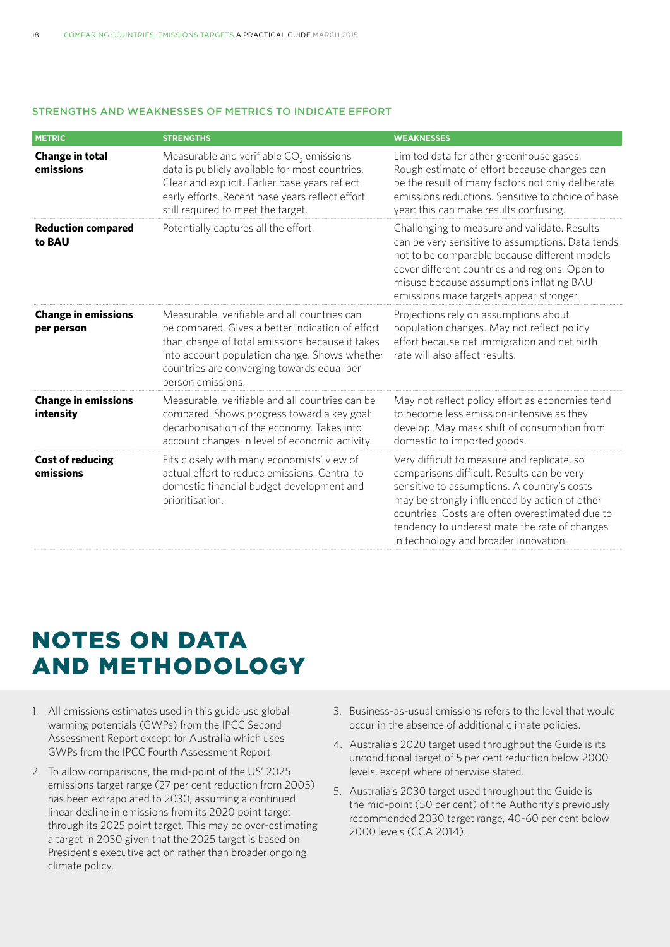#### STRENGTHS AND WEAKNESSES OF METRICS TO INDICATE EFFORT

| <b>METRIC</b>                              | <b>STRENGTHS</b>                                                                                                                                                                                                                                                        | <b>WEAKNESSES</b>                                                                                                                                                                                                                                                                                                                      |  |
|--------------------------------------------|-------------------------------------------------------------------------------------------------------------------------------------------------------------------------------------------------------------------------------------------------------------------------|----------------------------------------------------------------------------------------------------------------------------------------------------------------------------------------------------------------------------------------------------------------------------------------------------------------------------------------|--|
| <b>Change in total</b><br>emissions        | Measurable and verifiable $CO2$ emissions<br>data is publicly available for most countries.<br>Clear and explicit. Earlier base years reflect<br>early efforts. Recent base years reflect effort<br>still required to meet the target.                                  | Limited data for other greenhouse gases.<br>Rough estimate of effort because changes can<br>be the result of many factors not only deliberate<br>emissions reductions. Sensitive to choice of base<br>year: this can make results confusing.                                                                                           |  |
| <b>Reduction compared</b><br>to <b>BAU</b> | Potentially captures all the effort.                                                                                                                                                                                                                                    | Challenging to measure and validate. Results<br>can be very sensitive to assumptions. Data tends<br>not to be comparable because different models<br>cover different countries and regions. Open to<br>misuse because assumptions inflating BAU<br>emissions make targets appear stronger.                                             |  |
| <b>Change in emissions</b><br>per person   | Measurable, verifiable and all countries can<br>be compared. Gives a better indication of effort<br>than change of total emissions because it takes<br>into account population change. Shows whether<br>countries are converging towards equal per<br>person emissions. | Projections rely on assumptions about<br>population changes. May not reflect policy<br>effort because net immigration and net birth<br>rate will also affect results.                                                                                                                                                                  |  |
| <b>Change in emissions</b><br>intensity    | Measurable, verifiable and all countries can be<br>compared. Shows progress toward a key goal:<br>decarbonisation of the economy. Takes into<br>account changes in level of economic activity.                                                                          | May not reflect policy effort as economies tend<br>to become less emission-intensive as they<br>develop. May mask shift of consumption from<br>domestic to imported goods.                                                                                                                                                             |  |
| <b>Cost of reducing</b><br>emissions       | Fits closely with many economists' view of<br>actual effort to reduce emissions. Central to<br>domestic financial budget development and<br>prioritisation.                                                                                                             | Very difficult to measure and replicate, so<br>comparisons difficult. Results can be very<br>sensitive to assumptions. A country's costs<br>may be strongly influenced by action of other<br>countries. Costs are often overestimated due to<br>tendency to underestimate the rate of changes<br>in technology and broader innovation. |  |

# NOTES ON DATA AND METHODOLOGY

- 1. All emissions estimates used in this guide use global warming potentials (GWPs) from the IPCC Second Assessment Report except for Australia which uses GWPs from the IPCC Fourth Assessment Report.
- 2. To allow comparisons, the mid-point of the US' 2025 emissions target range (27 per cent reduction from 2005) has been extrapolated to 2030, assuming a continued linear decline in emissions from its 2020 point target through its 2025 point target. This may be over-estimating a target in 2030 given that the 2025 target is based on President's executive action rather than broader ongoing climate policy.
- 3. Business-as-usual emissions refers to the level that would occur in the absence of additional climate policies.
- 4. Australia's 2020 target used throughout the Guide is its unconditional target of 5 per cent reduction below 2000 levels, except where otherwise stated.
- 5. Australia's 2030 target used throughout the Guide is the mid-point (50 per cent) of the Authority's previously recommended 2030 target range, 40-60 per cent below 2000 levels (CCA 2014).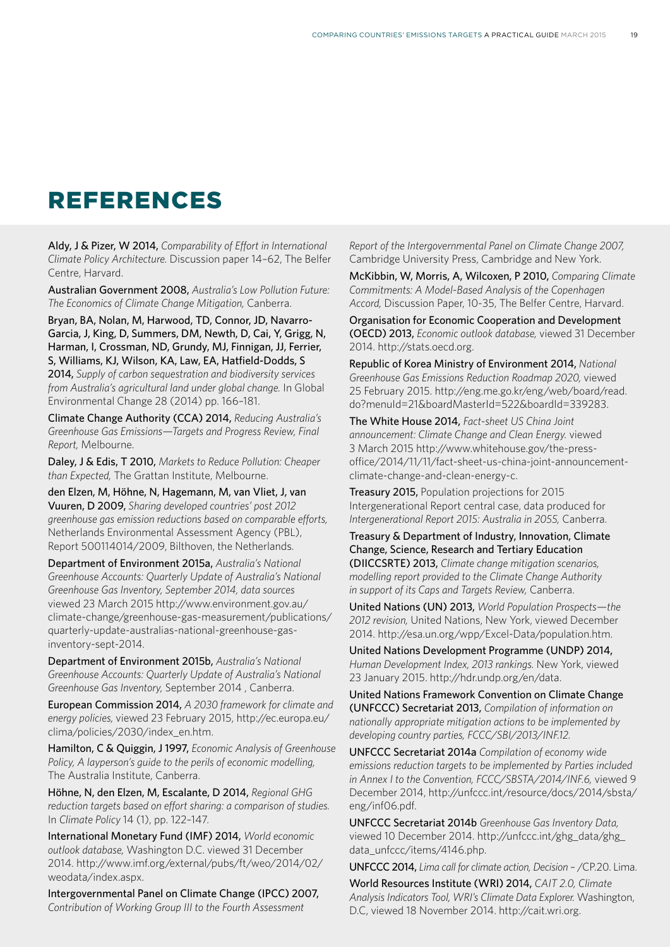## REFERENCES

Aldy, J & Pizer, W 2014, *Comparability of Effort in International Climate Policy Architecture.* Discussion paper 14–62, The Belfer Centre, Harvard.

Australian Government 2008, *Australia's Low Pollution Future: The Economics of Climate Change Mitigation,* Canberra.

Bryan, BA, Nolan, M, Harwood, TD, Connor, JD, Navarro-Garcia, J, King, D, Summers, DM, Newth, D, Cai, Y, Grigg, N, Harman, I, Crossman, ND, Grundy, MJ, Finnigan, JJ, Ferrier, S, Williams, KJ, Wilson, KA, Law, EA, Hatfield-Dodds, S 2014, *Supply of carbon sequestration and biodiversity services from Australia's agricultural land under global change.* In Global Environmental Change 28 (2014) pp. 166–181.

Climate Change Authority (CCA) 2014, *Reducing Australia's Greenhouse Gas Emissions—Targets and Progress Review, Final Report,* Melbourne.

Daley, J & Edis, T 2010, *Markets to Reduce Pollution: Cheaper than Expected,* The Grattan Institute, Melbourne.

den Elzen, M, Höhne, N, Hagemann, M, van Vliet, J, van Vuuren, D 2009, *Sharing developed countries' post 2012 greenhouse gas emission reductions based on comparable efforts,*  Netherlands Environmental Assessment Agency (PBL), Report 500114014/2009, Bilthoven, the Netherlands.

Department of Environment 2015a, *Australia's National Greenhouse Accounts: Quarterly Update of Australia's National Greenhouse Gas Inventory, September 2014, data sources* viewed 23 March 2015 http://www.environment.gov.au/ climate-change/greenhouse-gas-measurement/publications/ quarterly-update-australias-national-greenhouse-gasinventory-sept-2014.

Department of Environment 2015b, *Australia's National Greenhouse Accounts: Quarterly Update of Australia's National Greenhouse Gas Inventory,* September 2014 , Canberra.

European Commission 2014, *A 2030 framework for climate and energy policies,* viewed 23 February 2015, http://ec.europa.eu/ clima/policies/2030/index\_en.htm.

Hamilton, C & Quiggin, J 1997, *Economic Analysis of Greenhouse Policy, A layperson's guide to the perils of economic modelling,* The Australia Institute, Canberra.

Höhne, N, den Elzen, M, Escalante, D 2014, *Regional GHG reduction targets based on effort sharing: a comparison of studies.* In *Climate Policy* 14 (1), pp. 122–147.

International Monetary Fund (IMF) 2014, *World economic outlook database,* Washington D.C. viewed 31 December 2014. http://www.imf.org/external/pubs/ft/weo/2014/02/ weodata/index.aspx.

Intergovernmental Panel on Climate Change (IPCC) 2007, *Contribution of Working Group III to the Fourth Assessment* 

*Report of the Intergovernmental Panel on Climate Change 2007,*  Cambridge University Press, Cambridge and New York.

McKibbin, W, Morris, A, Wilcoxen, P 2010, *Comparing Climate Commitments: A Model-Based Analysis of the Copenhagen Accord,* Discussion Paper, 10-35, The Belfer Centre, Harvard.

Organisation for Economic Cooperation and Development (OECD) 2013, *Economic outlook database,* viewed 31 December 2014. http://stats.oecd.org.

Republic of Korea Ministry of Environment 2014, *National Greenhouse Gas Emissions Reduction Roadmap 2020,* viewed 25 February 2015. http://eng.me.go.kr/eng/web/board/read. do?menuId=21&boardMasterId=522&boardId=339283.

The White House 2014, *Fact-sheet US China Joint announcement: Climate Change and Clean Energy.* viewed 3 March 2015 http://www.whitehouse.gov/the-pressoffice/2014/11/11/fact-sheet-us-china-joint-announcementclimate-change-and-clean-energy-c.

Treasury 2015, Population projections for 2015 Intergenerational Report central case, data produced for *Intergenerational Report 2015: Australia in 2055,* Canberra.

Treasury & Department of Industry, Innovation, Climate Change, Science, Research and Tertiary Education (DIICCSRTE) 2013, *Climate change mitigation scenarios, modelling report provided to the Climate Change Authority in support of its Caps and Targets Review,* Canberra.

United Nations (UN) 2013, *World Population Prospects—the 2012 revision,* United Nations, New York, viewed December 2014. http://esa.un.org/wpp/Excel-Data/population.htm.

United Nations Development Programme (UNDP) 2014, *Human Development Index, 2013 rankings.* New York, viewed 23 January 2015. http://hdr.undp.org/en/data.

United Nations Framework Convention on Climate Change (UNFCCC) Secretariat 2013, *Compilation of information on nationally appropriate mitigation actions to be implemented by developing country parties, FCCC/SBI/2013/INF.12.*

UNFCCC Secretariat 2014a *Compilation of economy wide emissions reduction targets to be implemented by Parties included in Annex I to the Convention, FCCC/SBSTA/2014/INF.6,* viewed 9 December 2014, http://unfccc.int/resource/docs/2014/sbsta/ eng/inf06.pdf.

UNFCCC Secretariat 2014b *Greenhouse Gas Inventory Data,*  viewed 10 December 2014. http://unfccc.int/ghg\_data/ghg\_ data\_unfccc/items/4146.php.

UNFCCC 2014, *Lima call for climate action, Decision –* /CP.20. Lima. World Resources Institute (WRI) 2014, *CAIT 2.0, Climate Analysis Indicators Tool, WRI's Climate Data Explorer.* Washington, D.C, viewed 18 November 2014. http://cait.wri.org.